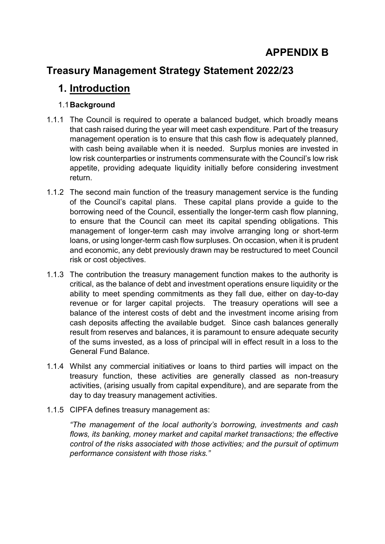# **APPENDIX B**

# **Treasury Management Strategy Statement 2022/23**

## **1. Introduction**

### 1.1**Background**

- 1.1.1 The Council is required to operate a balanced budget, which broadly means that cash raised during the year will meet cash expenditure. Part of the treasury management operation is to ensure that this cash flow is adequately planned, with cash being available when it is needed. Surplus monies are invested in low risk counterparties or instruments commensurate with the Council's low risk appetite, providing adequate liquidity initially before considering investment return.
- 1.1.2 The second main function of the treasury management service is the funding of the Council's capital plans. These capital plans provide a guide to the borrowing need of the Council, essentially the longer-term cash flow planning, to ensure that the Council can meet its capital spending obligations. This management of longer-term cash may involve arranging long or short-term loans, or using longer-term cash flow surpluses. On occasion, when it is prudent and economic, any debt previously drawn may be restructured to meet Council risk or cost objectives.
- 1.1.3 The contribution the treasury management function makes to the authority is critical, as the balance of debt and investment operations ensure liquidity or the ability to meet spending commitments as they fall due, either on day-to-day revenue or for larger capital projects. The treasury operations will see a balance of the interest costs of debt and the investment income arising from cash deposits affecting the available budget. Since cash balances generally result from reserves and balances, it is paramount to ensure adequate security of the sums invested, as a loss of principal will in effect result in a loss to the General Fund Balance.
- 1.1.4 Whilst any commercial initiatives or loans to third parties will impact on the treasury function, these activities are generally classed as non-treasury activities, (arising usually from capital expenditure), and are separate from the day to day treasury management activities.
- 1.1.5 CIPFA defines treasury management as:

*"The management of the local authority's borrowing, investments and cash flows, its banking, money market and capital market transactions; the effective control of the risks associated with those activities; and the pursuit of optimum performance consistent with those risks."*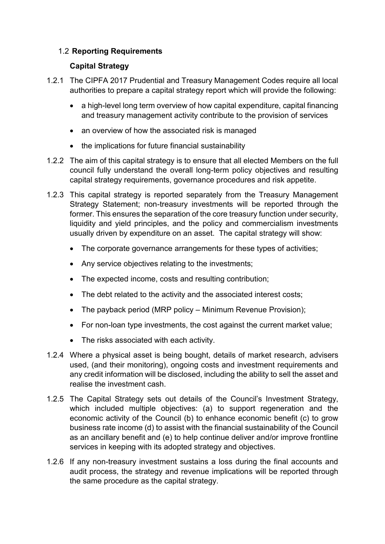### 1.2 **Reporting Requirements**

### **Capital Strategy**

- 1.2.1 The CIPFA 2017 Prudential and Treasury Management Codes require all local authorities to prepare a capital strategy report which will provide the following:
	- a high-level long term overview of how capital expenditure, capital financing and treasury management activity contribute to the provision of services
	- an overview of how the associated risk is managed
	- the implications for future financial sustainability
- 1.2.2 The aim of this capital strategy is to ensure that all elected Members on the full council fully understand the overall long-term policy objectives and resulting capital strategy requirements, governance procedures and risk appetite.
- 1.2.3 This capital strategy is reported separately from the Treasury Management Strategy Statement; non-treasury investments will be reported through the former. This ensures the separation of the core treasury function under security, liquidity and yield principles, and the policy and commercialism investments usually driven by expenditure on an asset. The capital strategy will show:
	- The corporate governance arrangements for these types of activities:
	- Any service objectives relating to the investments;
	- The expected income, costs and resulting contribution;
	- The debt related to the activity and the associated interest costs:
	- The payback period (MRP policy Minimum Revenue Provision);
	- For non-loan type investments, the cost against the current market value;
	- The risks associated with each activity.
- 1.2.4 Where a physical asset is being bought, details of market research, advisers used, (and their monitoring), ongoing costs and investment requirements and any credit information will be disclosed, including the ability to sell the asset and realise the investment cash.
- 1.2.5 The Capital Strategy sets out details of the Council's Investment Strategy, which included multiple objectives: (a) to support regeneration and the economic activity of the Council (b) to enhance economic benefit (c) to grow business rate income (d) to assist with the financial sustainability of the Council as an ancillary benefit and (e) to help continue deliver and/or improve frontline services in keeping with its adopted strategy and objectives.
- 1.2.6 If any non-treasury investment sustains a loss during the final accounts and audit process, the strategy and revenue implications will be reported through the same procedure as the capital strategy.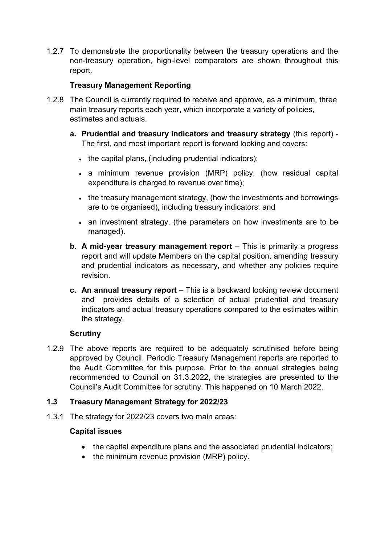1.2.7 To demonstrate the proportionality between the treasury operations and the non-treasury operation, high-level comparators are shown throughout this report.

### **Treasury Management Reporting**

- 1.2.8 The Council is currently required to receive and approve, as a minimum, three main treasury reports each year, which incorporate a variety of policies, estimates and actuals.
	- **a. Prudential and treasury indicators and treasury strategy** (this report) The first, and most important report is forward looking and covers:
		- $\cdot$  the capital plans, (including prudential indicators);
		- a minimum revenue provision (MRP) policy, (how residual capital expenditure is charged to revenue over time);
		- the treasury management strategy, (how the investments and borrowings are to be organised), including treasury indicators; and
		- an investment strategy, (the parameters on how investments are to be managed).
	- **b. A mid-year treasury management report** This is primarily a progress report and will update Members on the capital position, amending treasury and prudential indicators as necessary, and whether any policies require revision.
	- **c. An annual treasury report** This is a backward looking review document and provides details of a selection of actual prudential and treasury indicators and actual treasury operations compared to the estimates within the strategy.

#### **Scrutiny**

1.2.9 The above reports are required to be adequately scrutinised before being approved by Council. Periodic Treasury Management reports are reported to the Audit Committee for this purpose. Prior to the annual strategies being recommended to Council on 31.3.2022, the strategies are presented to the Council's Audit Committee for scrutiny. This happened on 10 March 2022.

#### **1.3 Treasury Management Strategy for 2022/23**

1.3.1 The strategy for 2022/23 covers two main areas:

#### **Capital issues**

- the capital expenditure plans and the associated prudential indicators;
- the minimum revenue provision (MRP) policy.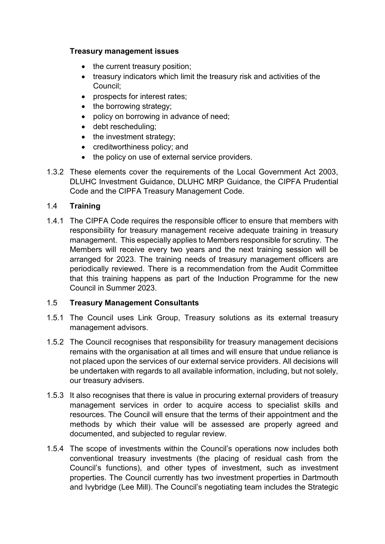#### **Treasury management issues**

- the current treasury position;
- treasury indicators which limit the treasury risk and activities of the Council;
- prospects for interest rates:
- $\bullet$  the borrowing strategy;
- policy on borrowing in advance of need;
- debt rescheduling;
- $\bullet$  the investment strategy;
- creditworthiness policy; and
- the policy on use of external service providers.
- 1.3.2 These elements cover the requirements of the Local Government Act 2003, DLUHC Investment Guidance, DLUHC MRP Guidance, the CIPFA Prudential Code and the CIPFA Treasury Management Code.

#### 1.4 **Training**

1.4.1 The CIPFA Code requires the responsible officer to ensure that members with responsibility for treasury management receive adequate training in treasury management. This especially applies to Members responsible for scrutiny. The Members will receive every two years and the next training session will be arranged for 2023. The training needs of treasury management officers are periodically reviewed. There is a recommendation from the Audit Committee that this training happens as part of the Induction Programme for the new Council in Summer 2023.

#### 1.5 **Treasury Management Consultants**

- 1.5.1 The Council uses Link Group, Treasury solutions as its external treasury management advisors.
- 1.5.2 The Council recognises that responsibility for treasury management decisions remains with the organisation at all times and will ensure that undue reliance is not placed upon the services of our external service providers. All decisions will be undertaken with regards to all available information, including, but not solely, our treasury advisers.
- 1.5.3 It also recognises that there is value in procuring external providers of treasury management services in order to acquire access to specialist skills and resources. The Council will ensure that the terms of their appointment and the methods by which their value will be assessed are properly agreed and documented, and subjected to regular review.
- 1.5.4 The scope of investments within the Council's operations now includes both conventional treasury investments (the placing of residual cash from the Council's functions), and other types of investment, such as investment properties. The Council currently has two investment properties in Dartmouth and Ivybridge (Lee Mill). The Council's negotiating team includes the Strategic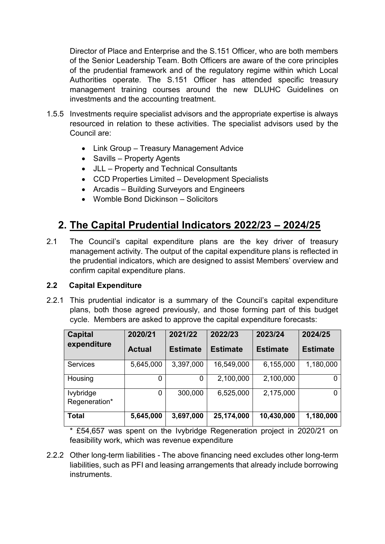Director of Place and Enterprise and the S.151 Officer, who are both members of the Senior Leadership Team. Both Officers are aware of the core principles of the prudential framework and of the regulatory regime within which Local Authorities operate. The S.151 Officer has attended specific treasury management training courses around the new DLUHC Guidelines on investments and the accounting treatment.

- 1.5.5 Investments require specialist advisors and the appropriate expertise is always resourced in relation to these activities. The specialist advisors used by the Council are:
	- Link Group Treasury Management Advice
	- Savills Property Agents
	- JLL Property and Technical Consultants
	- CCD Properties Limited Development Specialists
	- Arcadis Building Surveyors and Engineers
	- Womble Bond Dickinson Solicitors

# **2. The Capital Prudential Indicators 2022/23 – 2024/25**

2.1 The Council's capital expenditure plans are the key driver of treasury management activity. The output of the capital expenditure plans is reflected in the prudential indicators, which are designed to assist Members' overview and confirm capital expenditure plans.

#### **2.2 Capital Expenditure**

2.2.1 This prudential indicator is a summary of the Council's capital expenditure plans, both those agreed previously, and those forming part of this budget cycle. Members are asked to approve the capital expenditure forecasts:

| <b>Capital</b>             | 2020/21       | 2021/22         | 2022/23         | 2023/24         | 2024/25         |
|----------------------------|---------------|-----------------|-----------------|-----------------|-----------------|
| expenditure                | <b>Actual</b> | <b>Estimate</b> | <b>Estimate</b> | <b>Estimate</b> | <b>Estimate</b> |
| <b>Services</b>            | 5,645,000     | 3,397,000       | 16,549,000      | 6,155,000       | 1,180,000       |
| Housing                    | 0             | 0               | 2,100,000       | 2,100,000       |                 |
| lvybridge<br>Regeneration* | 0             | 300,000         | 6,525,000       | 2,175,000       | 0               |
| <b>Total</b>               | 5,645,000     | 3,697,000       | 25,174,000      | 10,430,000      | 1,180,000       |

\* £54,657 was spent on the Ivybridge Regeneration project in 2020/21 on feasibility work, which was revenue expenditure

2.2.2 Other long-term liabilities - The above financing need excludes other long-term liabilities, such as PFI and leasing arrangements that already include borrowing instruments.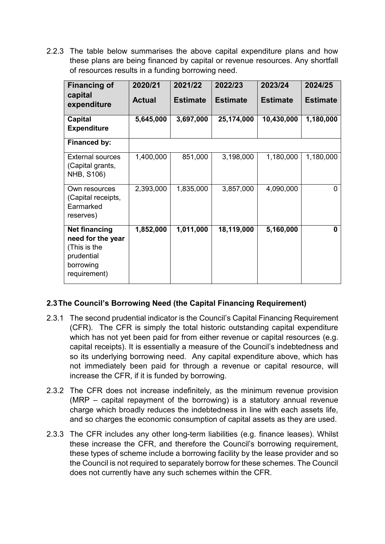2.2.3 The table below summarises the above capital expenditure plans and how these plans are being financed by capital or revenue resources. Any shortfall of resources results in a funding borrowing need.

| <b>Financing of</b>                                                                                  | 2020/21       | 2021/22         | 2022/23         | 2023/24         | 2024/25         |
|------------------------------------------------------------------------------------------------------|---------------|-----------------|-----------------|-----------------|-----------------|
| capital<br>expenditure                                                                               | <b>Actual</b> | <b>Estimate</b> | <b>Estimate</b> | <b>Estimate</b> | <b>Estimate</b> |
| Capital<br><b>Expenditure</b>                                                                        | 5,645,000     | 3,697,000       | 25,174,000      | 10,430,000      | 1,180,000       |
| Financed by:                                                                                         |               |                 |                 |                 |                 |
| <b>External sources</b><br>(Capital grants,<br>NHB, S106)                                            | 1,400,000     | 851,000         | 3,198,000       | 1,180,000       | 1,180,000       |
| Own resources<br>(Capital receipts,<br>Earmarked<br>reserves)                                        | 2,393,000     | 1,835,000       | 3,857,000       | 4,090,000       | 0               |
| <b>Net financing</b><br>need for the year<br>(This is the<br>prudential<br>borrowing<br>requirement) | 1,852,000     | 1,011,000       | 18,119,000      | 5,160,000       | U               |

## **2.3The Council's Borrowing Need (the Capital Financing Requirement)**

- 2.3.1 The second prudential indicator is the Council's Capital Financing Requirement (CFR). The CFR is simply the total historic outstanding capital expenditure which has not yet been paid for from either revenue or capital resources (e.g. capital receipts). It is essentially a measure of the Council's indebtedness and so its underlying borrowing need. Any capital expenditure above, which has not immediately been paid for through a revenue or capital resource, will increase the CFR, if it is funded by borrowing.
- 2.3.2 The CFR does not increase indefinitely, as the minimum revenue provision (MRP – capital repayment of the borrowing) is a statutory annual revenue charge which broadly reduces the indebtedness in line with each assets life, and so charges the economic consumption of capital assets as they are used.
- 2.3.3 The CFR includes any other long-term liabilities (e.g. finance leases). Whilst these increase the CFR, and therefore the Council's borrowing requirement, these types of scheme include a borrowing facility by the lease provider and so the Council is not required to separately borrow for these schemes. The Council does not currently have any such schemes within the CFR.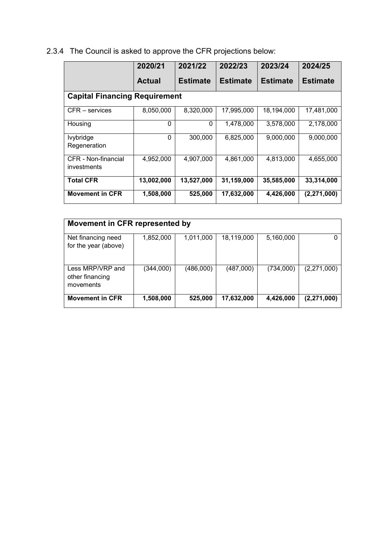2.3.4 The Council is asked to approve the CFR projections below:

|                                    | 2020/21                              | 2021/22         | 2022/23         | 2023/24         | 2024/25         |  |  |
|------------------------------------|--------------------------------------|-----------------|-----------------|-----------------|-----------------|--|--|
|                                    | <b>Actual</b>                        | <b>Estimate</b> | <b>Estimate</b> | <b>Estimate</b> | <b>Estimate</b> |  |  |
|                                    | <b>Capital Financing Requirement</b> |                 |                 |                 |                 |  |  |
| CFR – services                     | 8,050,000                            | 8,320,000       | 17,995,000      | 18,194,000      | 17,481,000      |  |  |
| Housing                            | 0                                    | 0               | 1,478,000       | 3,578,000       | 2,178,000       |  |  |
| <b>lvybridge</b><br>Regeneration   | $\Omega$                             | 300,000         | 6,825,000       | 9,000,000       | 9,000,000       |  |  |
| CFR - Non-financial<br>investments | 4,952,000                            | 4,907,000       | 4,861,000       | 4,813,000       | 4,655,000       |  |  |
| <b>Total CFR</b>                   | 13,002,000                           | 13,527,000      | 31,159,000      | 35,585,000      | 33,314,000      |  |  |
| <b>Movement in CFR</b>             | 1,508,000                            | 525,000         | 17,632,000      | 4,426,000       | (2, 271, 000)   |  |  |

| Movement in CFR represented by                   |           |           |            |           |               |  |
|--------------------------------------------------|-----------|-----------|------------|-----------|---------------|--|
| Net financing need<br>for the year (above)       | 1,852,000 | 1,011,000 | 18,119,000 | 5,160,000 |               |  |
| Less MRP/VRP and<br>other financing<br>movements | (344,000) | (486,000) | (487,000)  | (734,000) | (2,271,000)   |  |
| <b>Movement in CFR</b>                           | 1,508,000 | 525,000   | 17,632,000 | 4,426,000 | (2, 271, 000) |  |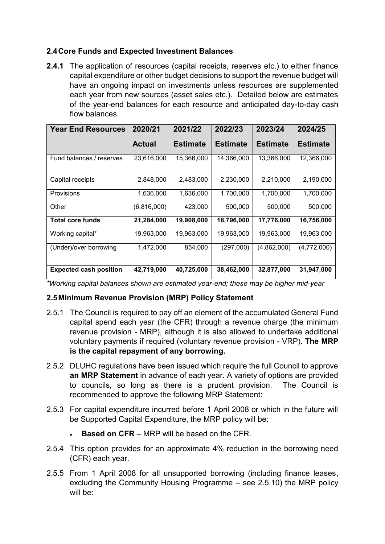### **2.4Core Funds and Expected Investment Balances**

**2.4.1** The application of resources (capital receipts, reserves etc.) to either finance capital expenditure or other budget decisions to support the revenue budget will have an ongoing impact on investments unless resources are supplemented each year from new sources (asset sales etc.). Detailed below are estimates of the year-end balances for each resource and anticipated day-to-day cash flow balances.

| <b>Year End Resources</b>     | 2020/21     | 2021/22         | 2022/23    | 2023/24         | 2024/25         |
|-------------------------------|-------------|-----------------|------------|-----------------|-----------------|
|                               | Actual      | <b>Estimate</b> | Estimate   | <b>Estimate</b> | <b>Estimate</b> |
| Fund balances / reserves      | 23,616,000  | 15,366,000      | 14,366,000 | 13,366,000      | 12,366,000      |
| Capital receipts              | 2,848,000   | 2,483,000       | 2,230,000  | 2,210,000       | 2,190,000       |
| <b>Provisions</b>             | 1,636,000   | 1,636,000       | 1,700,000  | 1,700,000       | 1,700,000       |
| Other                         | (6,816,000) | 423,000         | 500,000    | 500,000         | 500,000         |
| <b>Total core funds</b>       | 21,284,000  | 19,908,000      | 18,796,000 | 17,776,000      | 16,756,000      |
| Working capital*              | 19,963,000  | 19,963,000      | 19,963,000 | 19,963,000      | 19,963,000      |
| (Under)/over borrowing        | 1,472,000   | 854,000         | (297,000)  | (4,862,000)     | (4,772,000)     |
| <b>Expected cash position</b> | 42,719,000  | 40,725,000      | 38,462,000 | 32,877,000      | 31,947,000      |

*\*Working capital balances shown are estimated year-end; these may be higher mid-year* 

#### **2.5Minimum Revenue Provision (MRP) Policy Statement**

- 2.5.1 The Council is required to pay off an element of the accumulated General Fund capital spend each year (the CFR) through a revenue charge (the minimum revenue provision - MRP), although it is also allowed to undertake additional voluntary payments if required (voluntary revenue provision - VRP). **The MRP is the capital repayment of any borrowing.**
- 2.5.2 DLUHC regulations have been issued which require the full Council to approve **an MRP Statement** in advance of each year. A variety of options are provided to councils, so long as there is a prudent provision. The Council is recommended to approve the following MRP Statement:
- 2.5.3 For capital expenditure incurred before 1 April 2008 or which in the future will be Supported Capital Expenditure, the MRP policy will be:
	- **Based on CFR** MRP will be based on the CFR.
- 2.5.4 This option provides for an approximate 4% reduction in the borrowing need (CFR) each year.
- 2.5.5 From 1 April 2008 for all unsupported borrowing (including finance leases, excluding the Community Housing Programme – see 2.5.10) the MRP policy will be: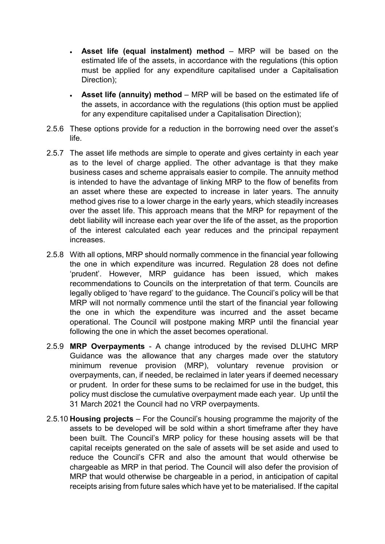- **Asset life (equal instalment) method** MRP will be based on the estimated life of the assets, in accordance with the regulations (this option must be applied for any expenditure capitalised under a Capitalisation Direction);
- **Asset life (annuity) method**  MRP will be based on the estimated life of the assets, in accordance with the regulations (this option must be applied for any expenditure capitalised under a Capitalisation Direction);
- 2.5.6 These options provide for a reduction in the borrowing need over the asset's life.
- 2.5.7 The asset life methods are simple to operate and gives certainty in each year as to the level of charge applied. The other advantage is that they make business cases and scheme appraisals easier to compile. The annuity method is intended to have the advantage of linking MRP to the flow of benefits from an asset where these are expected to increase in later years. The annuity method gives rise to a lower charge in the early years, which steadily increases over the asset life. This approach means that the MRP for repayment of the debt liability will increase each year over the life of the asset, as the proportion of the interest calculated each year reduces and the principal repayment increases.
- 2.5.8 With all options, MRP should normally commence in the financial year following the one in which expenditure was incurred. Regulation 28 does not define 'prudent'. However, MRP guidance has been issued, which makes recommendations to Councils on the interpretation of that term. Councils are legally obliged to 'have regard' to the guidance. The Council's policy will be that MRP will not normally commence until the start of the financial year following the one in which the expenditure was incurred and the asset became operational. The Council will postpone making MRP until the financial year following the one in which the asset becomes operational.
- 2.5.9 **MRP Overpayments** A change introduced by the revised DLUHC MRP Guidance was the allowance that any charges made over the statutory minimum revenue provision (MRP), voluntary revenue provision or overpayments, can, if needed, be reclaimed in later years if deemed necessary or prudent. In order for these sums to be reclaimed for use in the budget, this policy must disclose the cumulative overpayment made each year. Up until the 31 March 2021 the Council had no VRP overpayments.
- 2.5.10 **Housing projects** For the Council's housing programme the majority of the assets to be developed will be sold within a short timeframe after they have been built. The Council's MRP policy for these housing assets will be that capital receipts generated on the sale of assets will be set aside and used to reduce the Council's CFR and also the amount that would otherwise be chargeable as MRP in that period. The Council will also defer the provision of MRP that would otherwise be chargeable in a period, in anticipation of capital receipts arising from future sales which have yet to be materialised. If the capital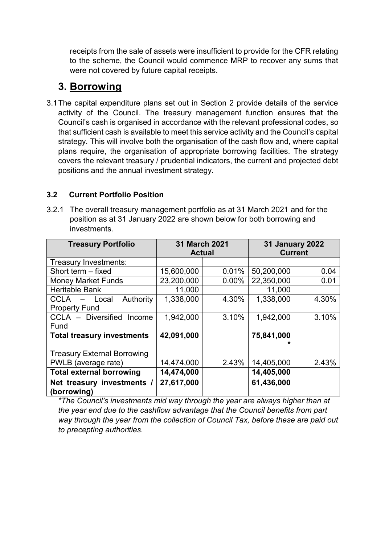receipts from the sale of assets were insufficient to provide for the CFR relating to the scheme, the Council would commence MRP to recover any sums that were not covered by future capital receipts.

## **3. Borrowing**

3.1The capital expenditure plans set out in Section 2 provide details of the service activity of the Council. The treasury management function ensures that the Council's cash is organised in accordance with the relevant professional codes, so that sufficient cash is available to meet this service activity and the Council's capital strategy. This will involve both the organisation of the cash flow and, where capital plans require, the organisation of appropriate borrowing facilities. The strategy covers the relevant treasury / prudential indicators, the current and projected debt positions and the annual investment strategy.

## **3.2 Current Portfolio Position**

3.2.1 The overall treasury management portfolio as at 31 March 2021 and for the position as at 31 January 2022 are shown below for both borrowing and investments.

| <b>Treasury Portfolio</b>                 | <b>31 March 2021</b> |          | <b>31 January 2022</b> |       |
|-------------------------------------------|----------------------|----------|------------------------|-------|
|                                           | <b>Actual</b>        |          | <b>Current</b>         |       |
| Treasury Investments:                     |                      |          |                        |       |
| Short term - fixed                        | 15,600,000           | 0.01%    | 50,200,000             | 0.04  |
| <b>Money Market Funds</b>                 | 23,200,000           | $0.00\%$ | 22,350,000             | 0.01  |
| <b>Heritable Bank</b>                     | 11,000               |          | 11,000                 |       |
| Authority<br>CCLA<br>Local                | 1,338,000            | 4.30%    | 1,338,000              | 4.30% |
| <b>Property Fund</b>                      |                      |          |                        |       |
| CCLA - Diversified<br>Income              | 1,942,000            | 3.10%    | 1,942,000              | 3.10% |
| Fund                                      |                      |          |                        |       |
| <b>Total treasury investments</b>         | 42,091,000           |          | 75,841,000             |       |
|                                           |                      |          |                        |       |
| <b>Treasury External Borrowing</b>        |                      |          |                        |       |
| PWLB (average rate)                       | 14,474,000           | 2.43%    | 14,405,000             | 2.43% |
| <b>Total external borrowing</b>           | 14,474,000           |          | 14,405,000             |       |
| Net treasury investments /<br>(borrowing) | 27,617,000           |          | 61,436,000             |       |

*\*The Council's investments mid way through the year are always higher than at the year end due to the cashflow advantage that the Council benefits from part way through the year from the collection of Council Tax, before these are paid out to precepting authorities.*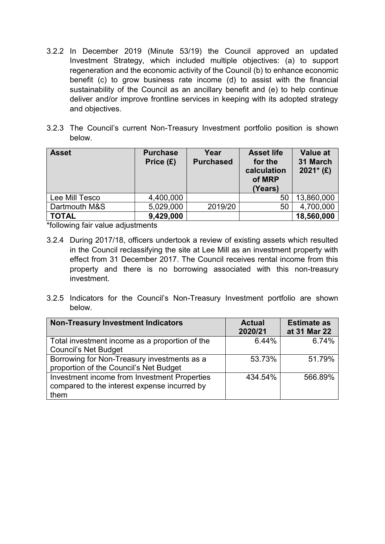- 3.2.2 In December 2019 (Minute 53/19) the Council approved an updated Investment Strategy, which included multiple objectives: (a) to support regeneration and the economic activity of the Council (b) to enhance economic benefit (c) to grow business rate income (d) to assist with the financial sustainability of the Council as an ancillary benefit and (e) to help continue deliver and/or improve frontline services in keeping with its adopted strategy and objectives.
- 3.2.3 The Council's current Non-Treasury Investment portfolio position is shown below.

| <b>Asset</b>   | <b>Purchase</b><br>Price $(E)$ | Year<br><b>Purchased</b> | <b>Asset life</b><br>for the<br>calculation<br>of MRP<br>(Years) | Value at<br>31 March<br>$2021*$ (£) |
|----------------|--------------------------------|--------------------------|------------------------------------------------------------------|-------------------------------------|
| Lee Mill Tesco | 4,400,000                      |                          | 50                                                               | 13,860,000                          |
| Dartmouth M&S  | 5,029,000                      | 2019/20                  | 50                                                               | 4,700,000                           |
| <b>TOTAL</b>   | 9,429,000                      |                          |                                                                  | 18,560,000                          |

\*following fair value adjustments

- 3.2.4 During 2017/18, officers undertook a review of existing assets which resulted in the Council reclassifying the site at Lee Mill as an investment property with effect from 31 December 2017. The Council receives rental income from this property and there is no borrowing associated with this non-treasury investment.
- 3.2.5 Indicators for the Council's Non-Treasury Investment portfolio are shown below.

| <b>Non-Treasury Investment Indicators</b>      | <b>Actual</b><br>2020/21 | <b>Estimate as</b><br>at 31 Mar 22 |
|------------------------------------------------|--------------------------|------------------------------------|
| Total investment income as a proportion of the | 6.44%                    | 6.74%                              |
| <b>Council's Net Budget</b>                    |                          |                                    |
| Borrowing for Non-Treasury investments as a    | 53.73%                   | 51.79%                             |
| proportion of the Council's Net Budget         |                          |                                    |
| Investment income from Investment Properties   | 434.54%                  | 566.89%                            |
| compared to the interest expense incurred by   |                          |                                    |
| them                                           |                          |                                    |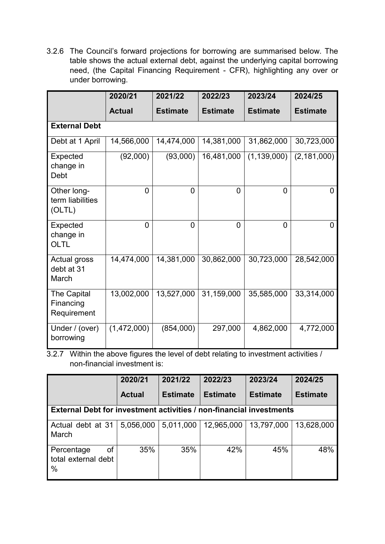3.2.6 The Council's forward projections for borrowing are summarised below. The table shows the actual external debt, against the underlying capital borrowing need, (the Capital Financing Requirement - CFR), highlighting any over or under borrowing.

|                                           | 2020/21        | 2021/22         | 2022/23         | 2023/24         | 2024/25         |
|-------------------------------------------|----------------|-----------------|-----------------|-----------------|-----------------|
|                                           | <b>Actual</b>  | <b>Estimate</b> | <b>Estimate</b> | <b>Estimate</b> | <b>Estimate</b> |
| <b>External Debt</b>                      |                |                 |                 |                 |                 |
| Debt at 1 April                           | 14,566,000     | 14,474,000      | 14,381,000      | 31,862,000      | 30,723,000      |
| Expected<br>change in<br>Debt             | (92,000)       | (93,000)        | 16,481,000      | (1, 139, 000)   | (2, 181, 000)   |
| Other long-<br>term liabilities<br>(OLTL) | $\overline{0}$ | $\overline{0}$  | 0               | 0               | 0               |
| Expected<br>change in<br>OLTL             | $\overline{0}$ | $\Omega$        | $\overline{0}$  | 0               | 0               |
| Actual gross<br>debt at 31<br>March       | 14,474,000     | 14,381,000      | 30,862,000      | 30,723,000      | 28,542,000      |
| The Capital<br>Financing<br>Requirement   | 13,002,000     | 13,527,000      | 31,159,000      | 35,585,000      | 33,314,000      |
| Under / (over)<br>borrowing               | (1,472,000)    | (854,000)       | 297,000         | 4,862,000       | 4,772,000       |

3.2.7 Within the above figures the level of debt relating to investment activities / non-financial investment is:

|                                                                            | 2020/21       | 2021/22         | 2022/23         | 2023/24         | 2024/25         |  |
|----------------------------------------------------------------------------|---------------|-----------------|-----------------|-----------------|-----------------|--|
|                                                                            | <b>Actual</b> | <b>Estimate</b> | <b>Estimate</b> | <b>Estimate</b> | <b>Estimate</b> |  |
| <b>External Debt for investment activities / non-financial investments</b> |               |                 |                 |                 |                 |  |
| Actual debt at 31<br>March                                                 | 5,056,000     | 5,011,000       | 12,965,000      | 13,797,000      | 13,628,000      |  |
| οf<br>Percentage<br>total external debt<br>$\%$                            | 35%           | 35%             | 42%             | 45%             | 48%             |  |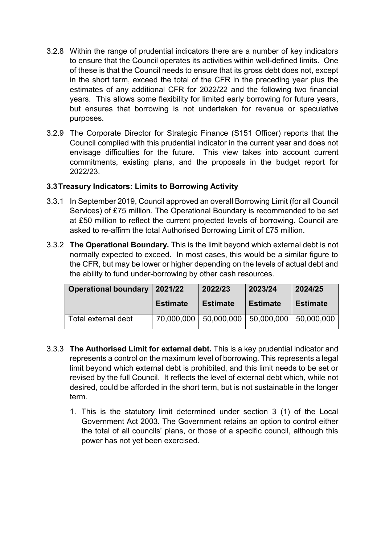- 3.2.8 Within the range of prudential indicators there are a number of key indicators to ensure that the Council operates its activities within well-defined limits. One of these is that the Council needs to ensure that its gross debt does not, except in the short term, exceed the total of the CFR in the preceding year plus the estimates of any additional CFR for 2022/22 and the following two financial years. This allows some flexibility for limited early borrowing for future years, but ensures that borrowing is not undertaken for revenue or speculative purposes.
- 3.2.9 The Corporate Director for Strategic Finance (S151 Officer) reports that the Council complied with this prudential indicator in the current year and does not envisage difficulties for the future. This view takes into account current commitments, existing plans, and the proposals in the budget report for 2022/23.

#### **3.3Treasury Indicators: Limits to Borrowing Activity**

- 3.3.1 In September 2019, Council approved an overall Borrowing Limit (for all Council Services) of £75 million. The Operational Boundary is recommended to be set at £50 million to reflect the current projected levels of borrowing. Council are asked to re-affirm the total Authorised Borrowing Limit of £75 million.
- 3.3.2 **The Operational Boundary.** This is the limit beyond which external debt is not normally expected to exceed. In most cases, this would be a similar figure to the CFR, but may be lower or higher depending on the levels of actual debt and the ability to fund under-borrowing by other cash resources.

| <b>Operational boundary</b> | 2021/22         | 2022/23         | 2023/24         | 2024/25         |
|-----------------------------|-----------------|-----------------|-----------------|-----------------|
|                             | <b>Estimate</b> | <b>Estimate</b> | <b>Estimate</b> | <b>Estimate</b> |
| Total external debt         | 70,000,000      | 50,000,000      | 50,000,000      | 50,000,000      |

- 3.3.3 **The Authorised Limit for external debt.** This is a key prudential indicator and represents a control on the maximum level of borrowing. This represents a legal limit beyond which external debt is prohibited, and this limit needs to be set or revised by the full Council. It reflects the level of external debt which, while not desired, could be afforded in the short term, but is not sustainable in the longer term.
	- 1. This is the statutory limit determined under section 3 (1) of the Local Government Act 2003. The Government retains an option to control either the total of all councils' plans, or those of a specific council, although this power has not yet been exercised.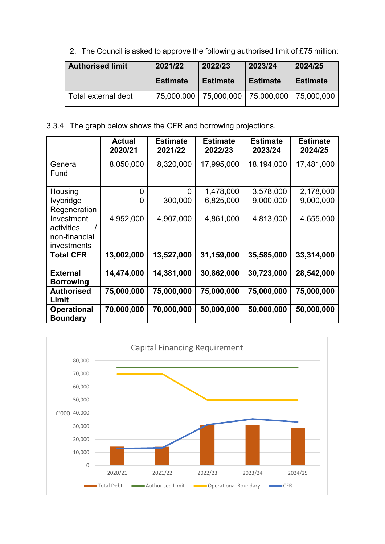2. The Council is asked to approve the following authorised limit of £75 million:

| <b>Authorised limit</b> | 2021/22         | 2022/23                 | 2023/24         | 2024/25         |
|-------------------------|-----------------|-------------------------|-----------------|-----------------|
|                         | <b>Estimate</b> | <b>Estimate</b>         | <b>Estimate</b> | <b>Estimate</b> |
| Total external debt     |                 | 75,000,000   75,000,000 | 75,000,000      | 75.000.000      |

3.3.4 The graph below shows the CFR and borrowing projections.

|                                                                 | <b>Actual</b><br>2020/21 | <b>Estimate</b><br>2021/22 | <b>Estimate</b><br>2022/23 | <b>Estimate</b><br>2023/24 | <b>Estimate</b><br>2024/25 |
|-----------------------------------------------------------------|--------------------------|----------------------------|----------------------------|----------------------------|----------------------------|
| General<br>Fund                                                 | 8,050,000                | 8,320,000                  | 17,995,000                 | 18,194,000                 | 17,481,000                 |
| Housing                                                         | 0                        | $\overline{0}$             | 1,478,000                  | 3,578,000                  | 2,178,000                  |
| <b>lvybridge</b><br>Regeneration                                | 0                        | 300,000                    | 6,825,000                  | 9,000,000                  | 9,000,000                  |
| Investment<br>activities<br>non-financial<br><i>investments</i> | 4,952,000                | 4,907,000                  | 4,861,000                  | 4,813,000                  | 4,655,000                  |
| <b>Total CFR</b>                                                | 13,002,000               | 13,527,000                 | 31,159,000                 | 35,585,000                 | 33,314,000                 |
| <b>External</b><br><b>Borrowing</b>                             | 14,474,000               | 14,381,000                 | 30,862,000                 | 30,723,000                 | 28,542,000                 |
| <b>Authorised</b><br>Limit                                      | 75,000,000               | 75,000,000                 | 75,000,000                 | 75,000,000                 | 75,000,000                 |
| <b>Operational</b><br><b>Boundary</b>                           | 70,000,000               | 70,000,000                 | 50,000,000                 | 50,000,000                 | 50,000,000                 |

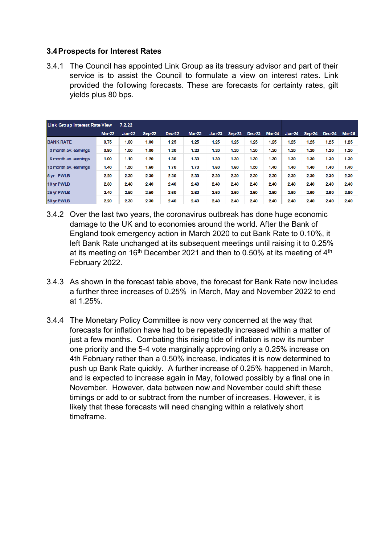#### **3.4Prospects for Interest Rates**

3.4.1 The Council has appointed Link Group as its treasury advisor and part of their service is to assist the Council to formulate a view on interest rates. Link provided the following forecasts. These are forecasts for certainty rates, gilt yields plus 80 bps.

| <b>Link Group Interest Rate View</b> | 7.2.22        |          |               |               |          |               |        |               |               |          |          |               |               |
|--------------------------------------|---------------|----------|---------------|---------------|----------|---------------|--------|---------------|---------------|----------|----------|---------------|---------------|
|                                      | <b>Mar-22</b> | $Jun-22$ | <b>Sep-22</b> | <b>Dec-22</b> | $Mar-23$ | <b>Jun-23</b> | Sep-23 | <b>Dec-23</b> | <b>Mar-24</b> | $Jun-24$ | $Sep-24$ | <b>Dec-24</b> | <b>Mar-25</b> |
| <b>BANK RATE</b>                     | 0.75          | 1.00     | 1.00          | 1.25          | 1.25     | 1.25          | 1.25   | 1.25          | 1.25          | 1.25     | 1.25     | 1.25          | 1.25          |
| 3 month av. earnings                 | 0.80          | 1.00     | 1.00          | 1.20          | 1.20     | 1.20          | 1.20   | 1.20          | 1.20          | 1.20     | 1.20     | 1.20          | 1.20          |
| 6 month av. earnings                 | 1.00          | 1.10     | 1.20          | 1.30          | 1.30     | 1.30          | 1.30   | 1.30          | 1.30          | 1.30     | 1.30     | 1.30          | 1.30          |
| 12 month av. earnings                | 1.40          | 1.50     | 1.60          | 1.70          | 1.70     | 1.60          | 1.60   | 1.50          | 1.40          | 1.40     | 1.40     | 1.40          | 1.40          |
| 5 yr PWLB                            | 2.20          | 2.30     | 2.30          | 2.30          | 2.30     | 2.30          | 2.30   | 2.30          | 2.30          | 2.30     | 2.30     | 2.30          | 2.30          |
| 10 yr PWLB                           | 2.30          | 2.40     | 2.40          | 2.40          | 2.40     | 2.40          | 2.40   | 2.40          | 2.40          | 2.40     | 2.40     | 2.40          | 2.40          |
| 25 yr PWLB                           | 2.40          | 2.50     | 2.50          | 2.60          | 2.60     | 2.60          | 2.60   | 2.60          | 2.60          | 2.60     | 2.60     | 2.60          | 2.60          |
| 50 yr PWLB                           | 2.20          | 2.30     | 2.30          | 2.40          | 2.40     | 2.40          | 2.40   | 2.40          | 2.40          | 2.40     | 2.40     | 2.40          | 2.40          |

- 3.4.2 Over the last two years, the coronavirus outbreak has done huge economic damage to the UK and to economies around the world. After the Bank of England took emergency action in March 2020 to cut Bank Rate to 0.10%, it left Bank Rate unchanged at its subsequent meetings until raising it to 0.25% at its meeting on 16<sup>th</sup> December 2021 and then to 0.50% at its meeting of  $4<sup>th</sup>$ February 2022.
- 3.4.3 As shown in the forecast table above, the forecast for Bank Rate now includes a further three increases of 0.25% in March, May and November 2022 to end at 1.25%.
- 3.4.4 The Monetary Policy Committee is now very concerned at the way that forecasts for inflation have had to be repeatedly increased within a matter of just a few months. Combating this rising tide of inflation is now its number one priority and the 5-4 vote marginally approving only a 0.25% increase on 4th February rather than a 0.50% increase, indicates it is now determined to push up Bank Rate quickly. A further increase of 0.25% happened in March, and is expected to increase again in May, followed possibly by a final one in November. However, data between now and November could shift these timings or add to or subtract from the number of increases. However, it is likely that these forecasts will need changing within a relatively short timeframe.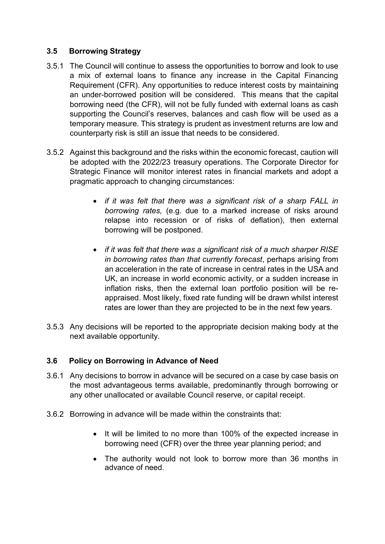#### **3.5 Borrowing Strategy**

- 3.5.1 The Council will continue to assess the opportunities to borrow and look to use a mix of external loans to finance any increase in the Capital Financing Requirement (CFR). Any opportunities to reduce interest costs by maintaining an under-borrowed position will be considered. This means that the capital borrowing need (the CFR), will not be fully funded with external loans as cash supporting the Council's reserves, balances and cash flow will be used as a temporary measure. This strategy is prudent as investment returns are low and counterparty risk is still an issue that needs to be considered.
- 3.5.2 Against this background and the risks within the economic forecast, caution will be adopted with the 2022/23 treasury operations. The Corporate Director for Strategic Finance will monitor interest rates in financial markets and adopt a pragmatic approach to changing circumstances:
	- *if it was felt that there was a significant risk of a sharp FALL in borrowing rates,* (e.g. due to a marked increase of risks around relapse into recession or of risks of deflation), then external borrowing will be postponed.
	- *if it was felt that there was a significant risk of a much sharper RISE in borrowing rates than that currently forecast*, perhaps arising from an acceleration in the rate of increase in central rates in the USA and UK, an increase in world economic activity, or a sudden increase in inflation risks, then the external loan portfolio position will be reappraised. Most likely, fixed rate funding will be drawn whilst interest rates are lower than they are projected to be in the next few years.
- 3.5.3 Any decisions will be reported to the appropriate decision making body at the next available opportunity.

#### **3.6 Policy on Borrowing in Advance of Need**

- 3.6.1 Any decisions to borrow in advance will be secured on a case by case basis on the most advantageous terms available, predominantly through borrowing or any other unallocated or available Council reserve, or capital receipt.
- 3.6.2 Borrowing in advance will be made within the constraints that:
	- It will be limited to no more than 100% of the expected increase in borrowing need (CFR) over the three year planning period; and
	- The authority would not look to borrow more than 36 months in advance of need.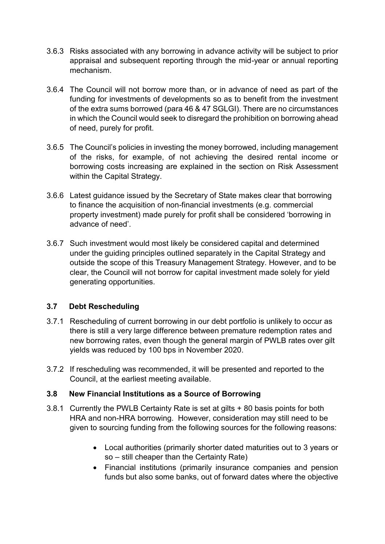- 3.6.3 Risks associated with any borrowing in advance activity will be subject to prior appraisal and subsequent reporting through the mid-year or annual reporting mechanism.
- 3.6.4 The Council will not borrow more than, or in advance of need as part of the funding for investments of developments so as to benefit from the investment of the extra sums borrowed (para 46 & 47 SGLGI). There are no circumstances in which the Council would seek to disregard the prohibition on borrowing ahead of need, purely for profit.
- 3.6.5 The Council's policies in investing the money borrowed, including management of the risks, for example, of not achieving the desired rental income or borrowing costs increasing are explained in the section on Risk Assessment within the Capital Strategy.
- 3.6.6 Latest guidance issued by the Secretary of State makes clear that borrowing to finance the acquisition of non-financial investments (e.g. commercial property investment) made purely for profit shall be considered 'borrowing in advance of need'.
- 3.6.7 Such investment would most likely be considered capital and determined under the guiding principles outlined separately in the Capital Strategy and outside the scope of this Treasury Management Strategy. However, and to be clear, the Council will not borrow for capital investment made solely for yield generating opportunities.

#### **3.7 Debt Rescheduling**

- 3.7.1 Rescheduling of current borrowing in our debt portfolio is unlikely to occur as there is still a very large difference between premature redemption rates and new borrowing rates, even though the general margin of PWLB rates over gilt yields was reduced by 100 bps in November 2020.
- 3.7.2 If rescheduling was recommended, it will be presented and reported to the Council, at the earliest meeting available.

#### **3.8 New Financial Institutions as a Source of Borrowing**

- 3.8.1 Currently the PWLB Certainty Rate is set at gilts + 80 basis points for both HRA and non-HRA borrowing. However, consideration may still need to be given to sourcing funding from the following sources for the following reasons:
	- Local authorities (primarily shorter dated maturities out to 3 years or so – still cheaper than the Certainty Rate)
	- Financial institutions (primarily insurance companies and pension funds but also some banks, out of forward dates where the objective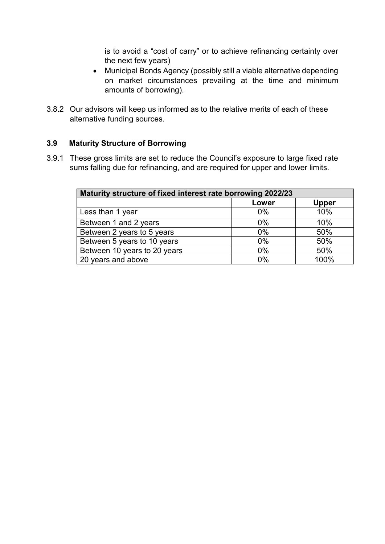is to avoid a "cost of carry" or to achieve refinancing certainty over the next few years)

- Municipal Bonds Agency (possibly still a viable alternative depending on market circumstances prevailing at the time and minimum amounts of borrowing).
- 3.8.2 Our advisors will keep us informed as to the relative merits of each of these alternative funding sources.

#### **3.9 Maturity Structure of Borrowing**

3.9.1 These gross limits are set to reduce the Council's exposure to large fixed rate sums falling due for refinancing, and are required for upper and lower limits.

| Maturity structure of fixed interest rate borrowing 2022/23 |       |              |  |  |  |
|-------------------------------------------------------------|-------|--------------|--|--|--|
|                                                             | Lower | <b>Upper</b> |  |  |  |
| Less than 1 year                                            | 0%    | 10%          |  |  |  |
| Between 1 and 2 years                                       | $0\%$ | 10%          |  |  |  |
| Between 2 years to 5 years                                  | $0\%$ | 50%          |  |  |  |
| Between 5 years to 10 years                                 | $0\%$ | 50%          |  |  |  |
| Between 10 years to 20 years                                | $0\%$ | 50%          |  |  |  |
| 20 years and above                                          | 0%    | 100%         |  |  |  |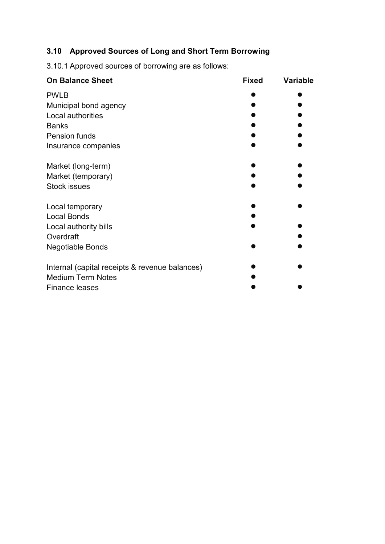## **3.10 Approved Sources of Long and Short Term Borrowing**

3.10.1 Approved sources of borrowing are as follows:

| <b>On Balance Sheet</b>                        | <b>Fixed</b> | <b>Variable</b> |
|------------------------------------------------|--------------|-----------------|
| <b>PWLB</b>                                    |              |                 |
| Municipal bond agency                          |              |                 |
| Local authorities                              |              |                 |
| <b>Banks</b>                                   |              |                 |
| <b>Pension funds</b>                           |              |                 |
| Insurance companies                            |              |                 |
| Market (long-term)                             |              |                 |
| Market (temporary)                             |              |                 |
| <b>Stock issues</b>                            |              |                 |
| Local temporary                                |              |                 |
| <b>Local Bonds</b>                             |              |                 |
| Local authority bills                          |              |                 |
| Overdraft                                      |              |                 |
| <b>Negotiable Bonds</b>                        |              |                 |
| Internal (capital receipts & revenue balances) |              |                 |
| <b>Medium Term Notes</b>                       |              |                 |
| <b>Finance leases</b>                          |              |                 |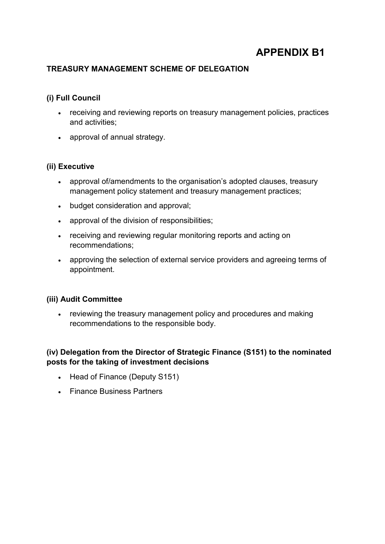## **APPENDIX B1**

#### **TREASURY MANAGEMENT SCHEME OF DELEGATION**

#### **(i) Full Council**

- receiving and reviewing reports on treasury management policies, practices and activities;
- approval of annual strategy.

#### **(ii) Executive**

- approval of/amendments to the organisation's adopted clauses, treasury management policy statement and treasury management practices;
- budget consideration and approval;
- approval of the division of responsibilities;
- receiving and reviewing regular monitoring reports and acting on recommendations;
- approving the selection of external service providers and agreeing terms of appointment.

#### **(iii) Audit Committee**

• reviewing the treasury management policy and procedures and making recommendations to the responsible body.

#### **(iv) Delegation from the Director of Strategic Finance (S151) to the nominated posts for the taking of investment decisions**

- Head of Finance (Deputy S151)
- Finance Business Partners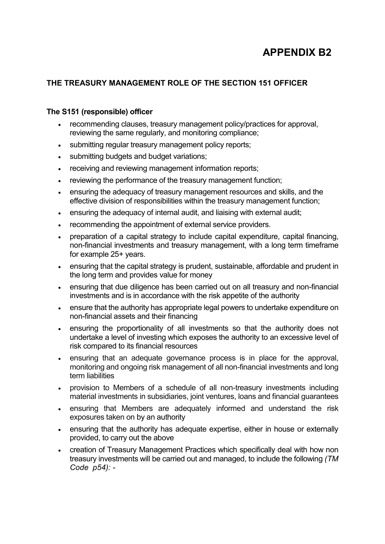## **APPENDIX B2**

#### **THE TREASURY MANAGEMENT ROLE OF THE SECTION 151 OFFICER**

#### **The S151 (responsible) officer**

- recommending clauses, treasury management policy/practices for approval, reviewing the same regularly, and monitoring compliance;
- submitting regular treasury management policy reports;
- submitting budgets and budget variations;
- receiving and reviewing management information reports;
- reviewing the performance of the treasury management function;
- ensuring the adequacy of treasury management resources and skills, and the effective division of responsibilities within the treasury management function;
- ensuring the adequacy of internal audit, and liaising with external audit;
- recommending the appointment of external service providers.
- preparation of a capital strategy to include capital expenditure, capital financing, non-financial investments and treasury management, with a long term timeframe for example 25+ years.
- ensuring that the capital strategy is prudent, sustainable, affordable and prudent in the long term and provides value for money
- ensuring that due diligence has been carried out on all treasury and non-financial investments and is in accordance with the risk appetite of the authority
- ensure that the authority has appropriate legal powers to undertake expenditure on non-financial assets and their financing
- ensuring the proportionality of all investments so that the authority does not undertake a level of investing which exposes the authority to an excessive level of risk compared to its financial resources
- ensuring that an adequate governance process is in place for the approval, monitoring and ongoing risk management of all non-financial investments and long term liabilities
- provision to Members of a schedule of all non-treasury investments including material investments in subsidiaries, joint ventures, loans and financial guarantees
- ensuring that Members are adequately informed and understand the risk exposures taken on by an authority
- ensuring that the authority has adequate expertise, either in house or externally provided, to carry out the above
- creation of Treasury Management Practices which specifically deal with how non treasury investments will be carried out and managed, to include the following *(TM Code p54): -*